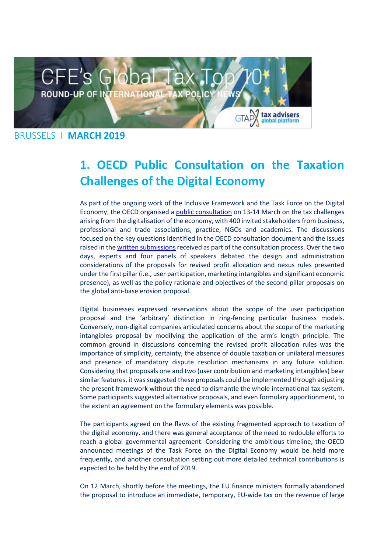

# **1. OECD Public Consultation on the Taxation Challenges of the Digital Economy**

As part of the ongoing work of the Inclusive Framework and the Task Force on the Digital Economy, the OECD organised a [public consultation](https://taxadviserseurope.us16.list-manage.com/track/click?u=0823f78338ab363b7e312367d&id=16a73a11e0&e=d675bf34cb) on 13-14 March on the tax challenges arising from the digitalisation of the economy, with 400 invited stakeholders from business, professional and trade associations, practice, NGOs and academics. The discussions focused on the key questions identified in the OECD consultation document and the issues raised in the written submissions received as part of the consultation process. Over the two days, experts and four panels of speakers debated the design and administration considerations of the proposals for revised profit allocation and nexus rules presented under the first pillar (i.e., user participation, marketing intangibles and significant economic presence), as well as the policy rationale and objectives of the second pillar proposals on the global anti-base erosion proposal.

Digital businesses expressed reservations about the scope of the user participation proposal and the 'arbitrary' distinction in ring-fencing particular business models. Conversely, non-digital companies articulated concerns about the scope of the marketing intangibles proposal by modifying the application of the arm's length principle. The common ground in discussions concerning the revised profit allocation rules was the importance of simplicity, certainty, the absence of double taxation or unilateral measures and presence of mandatory dispute resolution mechanisms in any future solution. Considering that proposals one and two (user contribution and marketing intangibles) bear similar features, it was suggested these proposals could be implemented through adjusting the present framework without the need to dismantle the whole international tax system. Some participants suggested alternative proposals, and even formulary apportionment, to the extent an agreement on the formulary elements was possible.

The participants agreed on the flaws of the existing fragmented approach to taxation of the digital economy, and there was general acceptance of the need to redouble efforts to reach a global governmental agreement. Considering the ambitious timeline, the OECD announced meetings of the Task Force on the Digital Economy would be held more frequently, and another consultation setting out more detailed technical contributions is expected to be held by the end of 2019.

On 12 March, shortly before the meetings, the EU finance ministers formally abandoned the proposal to introduce an immediate, temporary, EU-wide tax on the revenue of large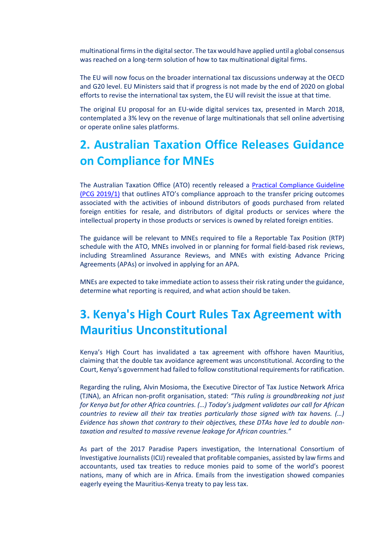multinational firms in the digital sector. The tax would have applied until a global consensus was reached on a long-term solution of how to tax multinational digital firms.

The EU will now focus on the broader international tax discussions underway at the OECD and G20 level. EU Ministers said that if progress is not made by the end of 2020 on global efforts to revise the international tax system, the EU will revisit the issue at that time.

The original EU proposal for an EU-wide digital services tax, presented in March 2018, contemplated a 3% levy on the revenue of large multinationals that sell online advertising or operate online sales platforms.

### **2. Australian Taxation Office Releases Guidance on Compliance for MNEs**

The Australian Taxation Office (ATO) recently released a [Practical Compliance Guideline](https://taxadviserseurope.us16.list-manage.com/track/click?u=0823f78338ab363b7e312367d&id=a658171c80&e=d675bf34cb)  [\(PCG 2019/1\)](https://taxadviserseurope.us16.list-manage.com/track/click?u=0823f78338ab363b7e312367d&id=a658171c80&e=d675bf34cb) that outlines ATO's compliance approach to the transfer pricing outcomes associated with the activities of inbound distributors of goods purchased from related foreign entities for resale, and distributors of digital products or services where the intellectual property in those products or services is owned by related foreign entities.

The guidance will be relevant to MNEs required to file a Reportable Tax Position (RTP) schedule with the ATO, MNEs involved in or planning for formal field-based risk reviews, including Streamlined Assurance Reviews, and MNEs with existing Advance Pricing Agreements (APAs) or involved in applying for an APA.

MNEs are expected to take immediate action to assess their risk rating under the guidance, determine what reporting is required, and what action should be taken.

## **3. Kenya's High Court Rules Tax Agreement with Mauritius Unconstitutional**

Kenya's High Court has invalidated a tax agreement with offshore haven Mauritius, claiming that the double tax avoidance agreement was unconstitutional. According to the Court, Kenya's government had failed to follow constitutional requirements for ratification.

Regarding the ruling, Alvin Mosioma, the Executive Director of Tax Justice Network Africa (TJNA), an African non-profit organisation, stated: *"This ruling is groundbreaking not just for Kenya but for other Africa countries. (…) Today's judgment validates our call for African countries to review all their tax treaties particularly those signed with tax havens. (…) Evidence has shown that contrary to their objectives, these DTAs have led to double nontaxation and resulted to massive revenue leakage for African countries."*

As part of the 2017 Paradise Papers investigation, the International Consortium of Investigative Journalists (ICIJ) revealed that profitable companies, assisted by law firms and accountants, used tax treaties to reduce monies paid to some of the world's poorest nations, many of which are in Africa. Emails from the investigation showed companies eagerly eyeing the Mauritius-Kenya treaty to pay less tax.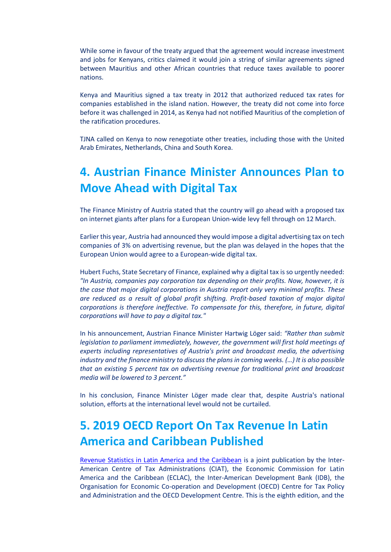While some in favour of the treaty argued that the agreement would increase investment and jobs for Kenyans, critics claimed it would join a string of similar agreements signed between Mauritius and other African countries that reduce taxes available to poorer nations.

Kenya and Mauritius signed a tax treaty in 2012 that authorized reduced tax rates for companies established in the island nation. However, the treaty did not come into force before it was challenged in 2014, as Kenya had not notified Mauritius of the completion of the ratification procedures.

TJNA called on Kenya to now renegotiate other treaties, including those with the United Arab Emirates, Netherlands, China and South Korea.

### **4. Austrian Finance Minister Announces Plan to Move Ahead with Digital Tax**

The Finance Ministry of Austria stated that the country will go ahead with a proposed tax on internet giants after plans for a European Union-wide levy fell through on 12 March.

Earlier this year, Austria had announced they would impose a digital advertising tax on tech companies of 3% on advertising revenue, but the plan was delayed in the hopes that the European Union would agree to a European-wide digital tax.

Hubert Fuchs, State Secretary of Finance, explained why a digital tax is so urgently needed: *"In Austria, companies pay corporation tax depending on their profits. Now, however, it is the case that major digital corporations in Austria report only very minimal profits. These are reduced as a result of global profit shifting. Profit-based taxation of major digital corporations is therefore ineffective. To compensate for this, therefore, in future, digital corporations will have to pay a digital tax."*

In his announcement, Austrian Finance Minister Hartwig Löger said: *"Rather than submit legislation to parliament immediately, however, the government will first hold meetings of experts including representatives of Austria's print and broadcast media, the advertising industry and the finance ministry to discuss the plans in coming weeks. (…) It is also possible that an existing 5 percent tax on advertising revenue for traditional print and broadcast media will be lowered to 3 percent."*

In his conclusion, Finance Minister Löger made clear that, despite Austria's national solution, efforts at the international level would not be curtailed.

### **5. 2019 OECD Report On Tax Revenue In Latin America and Caribbean Published**

[Revenue Statistics in Latin America and the Caribbean](https://taxadviserseurope.us16.list-manage.com/track/click?u=0823f78338ab363b7e312367d&id=a74e4729f9&e=d675bf34cb) is a joint publication by the Inter-American Centre of Tax Administrations (CIAT), the Economic Commission for Latin America and the Caribbean (ECLAC), the Inter-American Development Bank (IDB), the Organisation for Economic Co-operation and Development (OECD) Centre for Tax Policy and Administration and the OECD Development Centre. This is the eighth edition, and the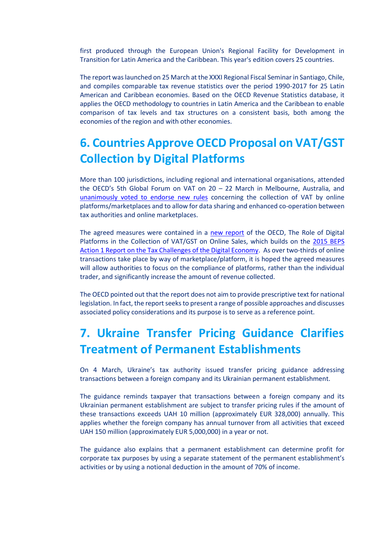first produced through the European Union's Regional Facility for Development in Transition for Latin America and the Caribbean. This year's edition covers 25 countries.

The report was launched on 25 March at the XXXI Regional Fiscal Seminar in Santiago, Chile, and compiles comparable tax revenue statistics over the period 1990-2017 for 25 Latin American and Caribbean economies. Based on the OECD Revenue Statistics database, it applies the OECD methodology to countries in Latin America and the Caribbean to enable comparison of tax levels and tax structures on a consistent basis, both among the economies of the region and with other economies.

## **6. Countries Approve OECD Proposal on VAT/GST Collection by Digital Platforms**

More than 100 jurisdictions, including regional and international organisations, attended the OECD's 5th Global Forum on VAT on 20 – 22 March in Melbourne, Australia, and [unanimously voted to endorse new rules](https://taxadviserseurope.us16.list-manage.com/track/click?u=0823f78338ab363b7e312367d&id=4eb7b6f67b&e=d675bf34cb) concerning the collection of VAT by online platforms/marketplaces and to allow for data sharing and enhanced co-operation between tax authorities and online marketplaces.

The agreed measures were contained in a [new report](https://taxadviserseurope.us16.list-manage.com/track/click?u=0823f78338ab363b7e312367d&id=f2144aac35&e=d675bf34cb) of the OECD, The Role of Digital Platforms in the Collection of VAT/GST on Online Sales, which builds on the [2015 BEPS](https://taxadviserseurope.us16.list-manage.com/track/click?u=0823f78338ab363b7e312367d&id=6de2b64094&e=d675bf34cb)  [Action 1 Report on the Tax Challenges of the Digital Economy.](https://taxadviserseurope.us16.list-manage.com/track/click?u=0823f78338ab363b7e312367d&id=6de2b64094&e=d675bf34cb) As over two-thirds of online transactions take place by way of marketplace/platform, it is hoped the agreed measures will allow authorities to focus on the compliance of platforms, rather than the individual trader, and significantly increase the amount of revenue collected.

The OECD pointed out that the report does not aim to provide prescriptive text for national legislation. In fact, the report seeks to present a range of possible approaches and discusses associated policy considerations and its purpose is to serve as a reference point.

## **7. Ukraine Transfer Pricing Guidance Clarifies Treatment of Permanent Establishments**

On 4 March, Ukraine's tax authority issued transfer pricing guidance addressing transactions between a foreign company and its Ukrainian permanent establishment.

The guidance reminds taxpayer that transactions between a foreign company and its Ukrainian permanent establishment are subject to transfer pricing rules if the amount of these transactions exceeds UAH 10 million (approximately EUR 328,000) annually. This applies whether the foreign company has annual turnover from all activities that exceed UAH 150 million (approximately EUR 5,000,000) in a year or not.

The guidance also explains that a permanent establishment can determine profit for corporate tax purposes by using a separate statement of the permanent establishment's activities or by using a notional deduction in the amount of 70% of income.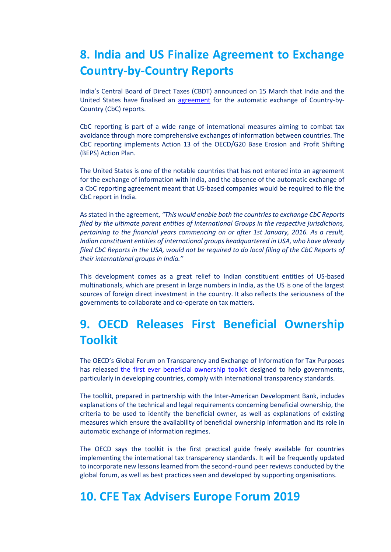### **8. India and US Finalize Agreement to Exchange Country-by-Country Reports**

India's Central Board of Direct Taxes (CBDT) announced on 15 March that India and the United States have finalised an [agreement](https://taxadviserseurope.us16.list-manage.com/track/click?u=0823f78338ab363b7e312367d&id=23a9d2e883&e=d675bf34cb) for the automatic exchange of Country-by-Country (CbC) reports.

CbC reporting is part of a wide range of international measures aiming to combat tax avoidance through more comprehensive exchanges of information between countries. The CbC reporting implements Action 13 of the OECD/G20 Base Erosion and Profit Shifting (BEPS) Action Plan.

The United States is one of the notable countries that has not entered into an agreement for the exchange of information with India, and the absence of the automatic exchange of a CbC reporting agreement meant that US-based companies would be required to file the CbC report in India.

As stated in the agreement, *"This would enable both the countries to exchange CbC Reports filed by the ultimate parent entities of International Groups in the respective jurisdictions, pertaining to the financial years commencing on or after 1st January, 2016. As a result, Indian constituent entities of international groups headquartered in USA, who have already filed CbC Reports in the USA, would not be required to do local filing of the CbC Reports of their international groups in India."*

This development comes as a great relief to Indian constituent entities of US-based multinationals, which are present in large numbers in India, as the US is one of the largest sources of foreign direct investment in the country. It also reflects the seriousness of the governments to collaborate and co-operate on tax matters.

## **9. OECD Releases First Beneficial Ownership Toolkit**

The OECD's Global Forum on Transparency and Exchange of Information for Tax Purposes has released [the first ever beneficial ownership toolkit](https://taxadviserseurope.us16.list-manage.com/track/click?u=0823f78338ab363b7e312367d&id=b493013132&e=d675bf34cb) designed to help governments, particularly in developing countries, comply with international transparency standards.

The toolkit, prepared in partnership with the Inter-American Development Bank, includes explanations of the technical and legal requirements concerning beneficial ownership, the criteria to be used to identify the beneficial owner, as well as explanations of existing measures which ensure the availability of beneficial ownership information and its role in automatic exchange of information regimes.

The OECD says the toolkit is the first practical guide freely available for countries implementing the international tax transparency standards. It will be frequently updated to incorporate new lessons learned from the second-round peer reviews conducted by the global forum, as well as best practices seen and developed by supporting organisations.

#### **10. CFE Tax Advisers Europe Forum 2019**